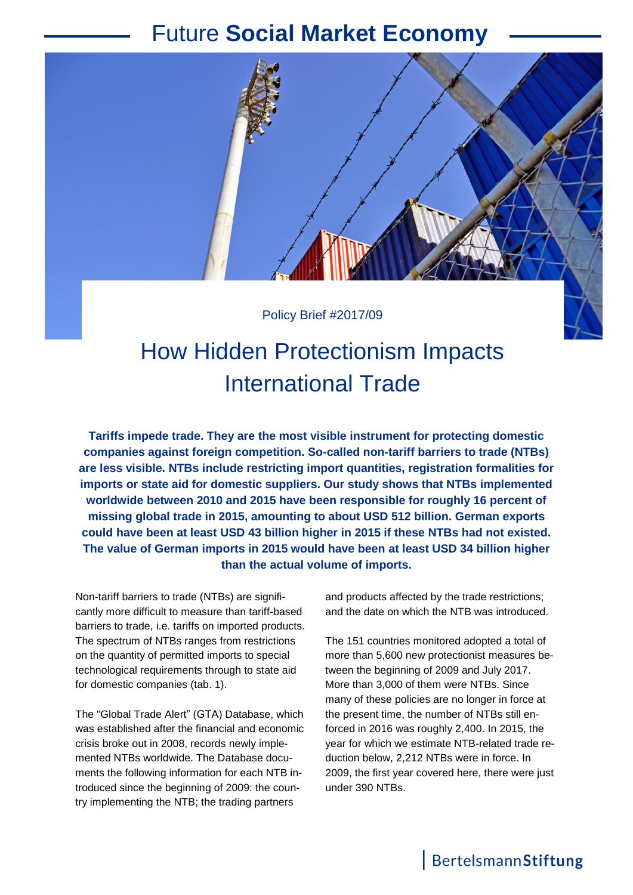# Future **Social Market Economy**

Policy Brief #2017/09

# How Hidden Protectionism Impacts International Trade

**Tariffs impede trade. They are the most visible instrument for protecting domestic companies against foreign competition. So-called non-tariff barriers to trade (NTBs) are less visible. NTBs include restricting import quantities, registration formalities for imports or state aid for domestic suppliers. Our study shows that NTBs implemented worldwide between 2010 and 2015 have been responsible for roughly 16 percent of missing global trade in 2015, amounting to about USD 512 billion. German exports could have been at least USD 43 billion higher in 2015 if these NTBs had not existed. The value of German imports in 2015 would have been at least USD 34 billion higher than the actual volume of imports.**

Non-tariff barriers to trade (NTBs) are significantly more difficult to measure than tariff-based barriers to trade, i.e. tariffs on imported products. The spectrum of NTBs ranges from restrictions on the quantity of permitted imports to special technological requirements through to state aid for domestic companies (tab. 1).

The "Global Trade Alert" (GTA) Database, which was established after the financial and economic crisis broke out in 2008, records newly implemented NTBs worldwide. The Database documents the following information for each NTB introduced since the beginning of 2009: the country implementing the NTB; the trading partners

and products affected by the trade restrictions; and the date on which the NTB was introduced.

The 151 countries monitored adopted a total of more than 5,600 new protectionist measures between the beginning of 2009 and July 2017. More than 3,000 of them were NTBs. Since many of these policies are no longer in force at the present time, the number of NTBs still enforced in 2016 was roughly 2,400. In 2015, the year for which we estimate NTB-related trade reduction below, 2,212 NTBs were in force. In 2009, the first year covered here, there were just under 390 NTBs.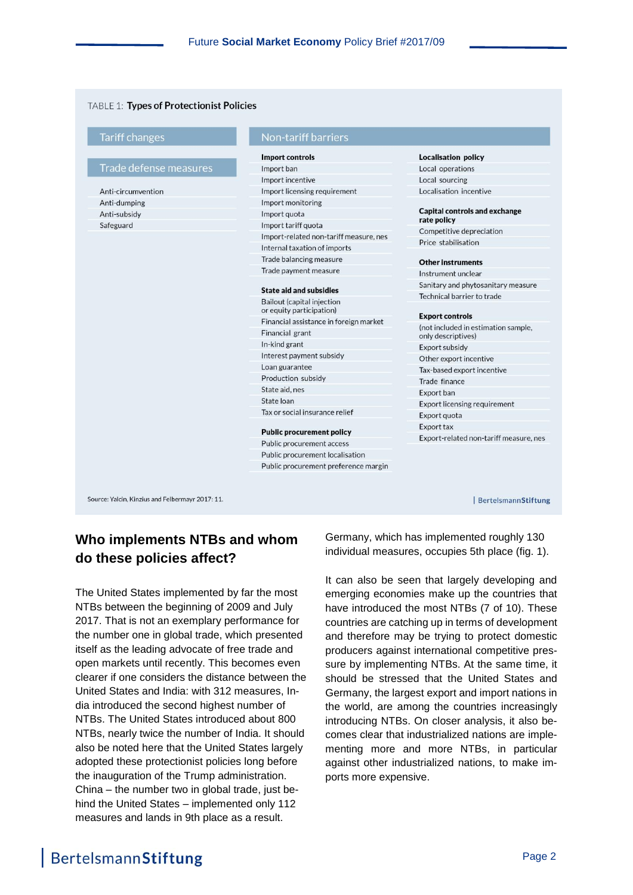#### **TABLE 1: Types of Protectionist Policies**

#### **Tariff changes**

#### Trade defense measures

Anti-circumvention Anti-dumping Anti-subsidy Safeguard

#### Non-tariff barriers

**Import controls** Import ban Import incentive Import licensing requirement Import monitoring Import quota Import tariff quota Import-related non-tariff measure, nes Internal taxation of imports Trade balancing measure Trade payment measure

#### **State aid and subsidies**

**Bailout (capital injection** or equity participation) Financial assistance in foreign market Financial grant In-kind grant Interest payment subsidy Loan guarantee Production subsidy State aid, nes State loan Tax or social insurance relief

#### **Public procurement policy**

Public procurement access Public procurement localisation

## Public procurement preference margin

#### **Localisation policy**

Local operations Local sourcing Localisation incentive

#### **Capital controls and exchange** rate policy

Competitive depreciation Price stabilisation

#### **Other instruments**

Instrument unclear Sanitary and phytosanitary measure Technical barrier to trade

#### **Export controls**

(not included in estimation sample, only descriptives) **Export subsidy** Other export incentive Tax-based export incentive Trade finance Export ban Export licensing requirement Export quota Export tax Export-related non-tariff measure, nes

BertelsmannStiftung

Source: Yalcin, Kinzius and Felbermayr 2017: 11.

## **Who implements NTBs and whom do these policies affect?**

The United States implemented by far the most NTBs between the beginning of 2009 and July 2017. That is not an exemplary performance for the number one in global trade, which presented itself as the leading advocate of free trade and open markets until recently. This becomes even clearer if one considers the distance between the United States and India: with 312 measures, India introduced the second highest number of NTBs. The United States introduced about 800 NTBs, nearly twice the number of India. It should also be noted here that the United States largely adopted these protectionist policies long before the inauguration of the Trump administration. China – the number two in global trade, just behind the United States – implemented only 112 measures and lands in 9th place as a result.

Germany, which has implemented roughly 130 individual measures, occupies 5th place (fig. 1).

It can also be seen that largely developing and emerging economies make up the countries that have introduced the most NTBs (7 of 10). These countries are catching up in terms of development and therefore may be trying to protect domestic producers against international competitive pressure by implementing NTBs. At the same time, it should be stressed that the United States and Germany, the largest export and import nations in the world, are among the countries increasingly introducing NTBs. On closer analysis, it also becomes clear that industrialized nations are implementing more and more NTBs, in particular against other industrialized nations, to make imports more expensive.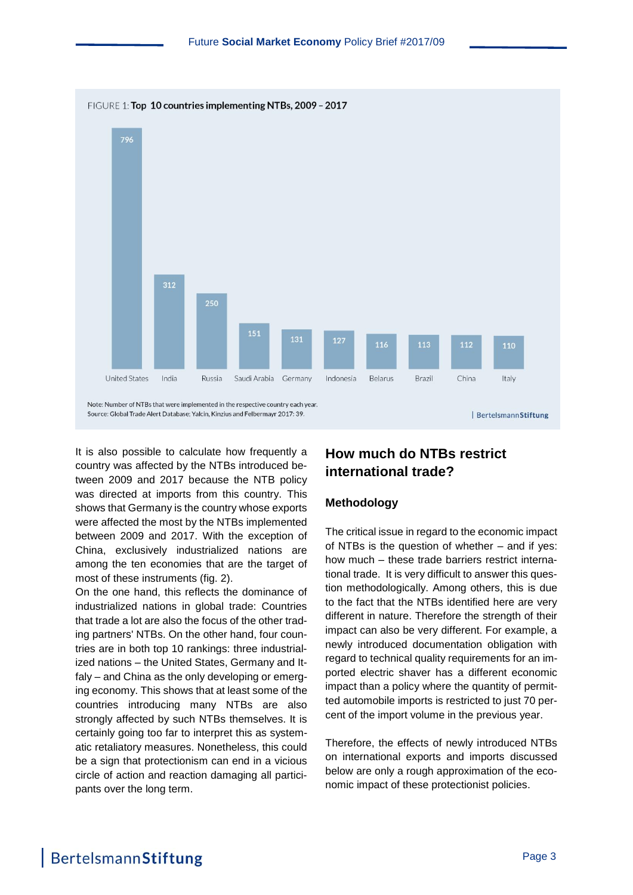

It is also possible to calculate how frequently a country was affected by the NTBs introduced between 2009 and 2017 because the NTB policy was directed at imports from this country. This shows that Germany is the country whose exports were affected the most by the NTBs implemented between 2009 and 2017. With the exception of China, exclusively industrialized nations are among the ten economies that are the target of most of these instruments (fig. 2).

On the one hand, this reflects the dominance of industrialized nations in global trade: Countries that trade a lot are also the focus of the other trading partners' NTBs. On the other hand, four countries are in both top 10 rankings: three industrialized nations – the United States, Germany and Itfaly – and China as the only developing or emerging economy. This shows that at least some of the countries introducing many NTBs are also strongly affected by such NTBs themselves. It is certainly going too far to interpret this as systematic retaliatory measures. Nonetheless, this could be a sign that protectionism can end in a vicious circle of action and reaction damaging all participants over the long term.

## **How much do NTBs restrict international trade?**

### **Methodology**

The critical issue in regard to the economic impact of NTBs is the question of whether – and if yes: how much – these trade barriers restrict international trade. It is very difficult to answer this question methodologically. Among others, this is due to the fact that the NTBs identified here are very different in nature. Therefore the strength of their impact can also be very different. For example, a newly introduced documentation obligation with regard to technical quality requirements for an imported electric shaver has a different economic impact than a policy where the quantity of permitted automobile imports is restricted to just 70 percent of the import volume in the previous year.

Therefore, the effects of newly introduced NTBs on international exports and imports discussed below are only a rough approximation of the economic impact of these protectionist policies.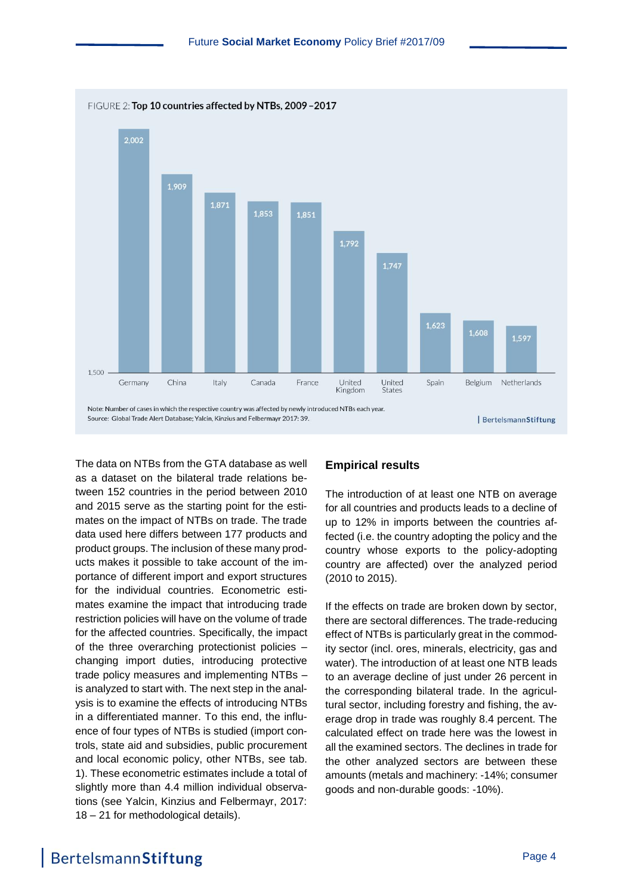

The data on NTBs from the GTA database as well as a dataset on the bilateral trade relations between 152 countries in the period between 2010 and 2015 serve as the starting point for the estimates on the impact of NTBs on trade. The trade data used here differs between 177 products and product groups. The inclusion of these many products makes it possible to take account of the importance of different import and export structures for the individual countries. Econometric estimates examine the impact that introducing trade restriction policies will have on the volume of trade for the affected countries. Specifically, the impact of the three overarching protectionist policies – changing import duties, introducing protective trade policy measures and implementing NTBs – is analyzed to start with. The next step in the analysis is to examine the effects of introducing NTBs in a differentiated manner. To this end, the influence of four types of NTBs is studied (import controls, state aid and subsidies, public procurement and local economic policy, other NTBs, see tab. 1). These econometric estimates include a total of slightly more than 4.4 million individual observations (see Yalcin, Kinzius and Felbermayr, 2017: 18 – 21 for methodological details).

#### **Empirical results**

The introduction of at least one NTB on average for all countries and products leads to a decline of up to 12% in imports between the countries affected (i.e. the country adopting the policy and the country whose exports to the policy-adopting country are affected) over the analyzed period (2010 to 2015).

If the effects on trade are broken down by sector, there are sectoral differences. The trade-reducing effect of NTBs is particularly great in the commodity sector (incl. ores, minerals, electricity, gas and water). The introduction of at least one NTB leads to an average decline of just under 26 percent in the corresponding bilateral trade. In the agricultural sector, including forestry and fishing, the average drop in trade was roughly 8.4 percent. The calculated effect on trade here was the lowest in all the examined sectors. The declines in trade for the other analyzed sectors are between these amounts (metals and machinery: -14%; consumer goods and non-durable goods: -10%).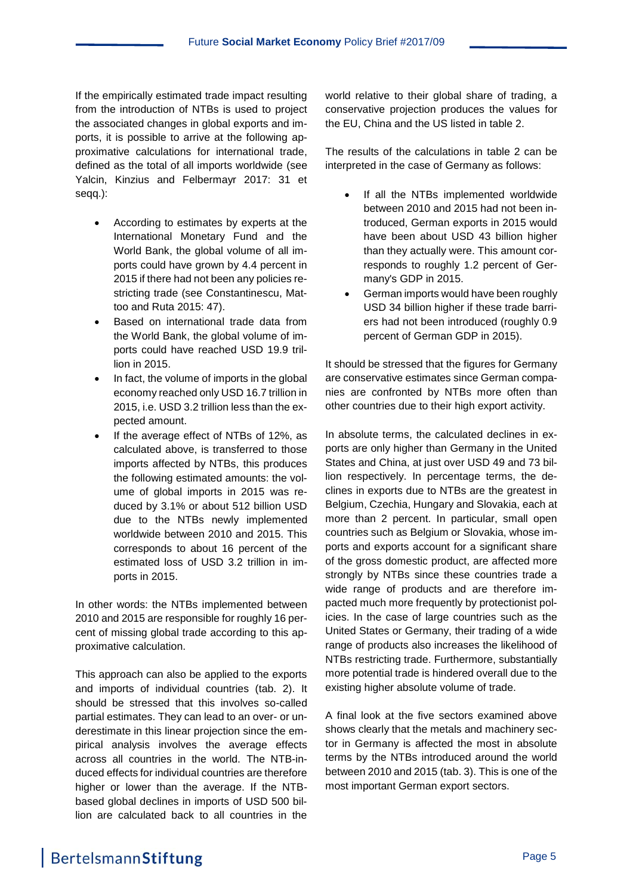If the empirically estimated trade impact resulting from the introduction of NTBs is used to project the associated changes in global exports and imports, it is possible to arrive at the following approximative calculations for international trade, defined as the total of all imports worldwide (see Yalcin, Kinzius and Felbermayr 2017: 31 et seqq.):

- According to estimates by experts at the International Monetary Fund and the World Bank, the global volume of all imports could have grown by 4.4 percent in 2015 if there had not been any policies restricting trade (see Constantinescu, Mattoo and Ruta 2015: 47).
- Based on international trade data from the World Bank, the global volume of imports could have reached USD 19.9 trillion in 2015.
- In fact, the volume of imports in the global economy reached only USD 16.7 trillion in 2015, i.e. USD 3.2 trillion less than the expected amount.
- If the average effect of NTBs of 12%, as calculated above, is transferred to those imports affected by NTBs, this produces the following estimated amounts: the volume of global imports in 2015 was reduced by 3.1% or about 512 billion USD due to the NTBs newly implemented worldwide between 2010 and 2015. This corresponds to about 16 percent of the estimated loss of USD 3.2 trillion in imports in 2015.

In other words: the NTBs implemented between 2010 and 2015 are responsible for roughly 16 percent of missing global trade according to this approximative calculation.

This approach can also be applied to the exports and imports of individual countries (tab. 2). It should be stressed that this involves so-called partial estimates. They can lead to an over- or underestimate in this linear projection since the empirical analysis involves the average effects across all countries in the world. The NTB-induced effects for individual countries are therefore higher or lower than the average. If the NTBbased global declines in imports of USD 500 billion are calculated back to all countries in the

world relative to their global share of trading, a conservative projection produces the values for the EU, China and the US listed in table 2.

The results of the calculations in table 2 can be interpreted in the case of Germany as follows:

- If all the NTBs implemented worldwide between 2010 and 2015 had not been introduced, German exports in 2015 would have been about USD 43 billion higher than they actually were. This amount corresponds to roughly 1.2 percent of Germany's GDP in 2015.
- German imports would have been roughly USD 34 billion higher if these trade barriers had not been introduced (roughly 0.9 percent of German GDP in 2015).

It should be stressed that the figures for Germany are conservative estimates since German companies are confronted by NTBs more often than other countries due to their high export activity.

In absolute terms, the calculated declines in exports are only higher than Germany in the United States and China, at just over USD 49 and 73 billion respectively. In percentage terms, the declines in exports due to NTBs are the greatest in Belgium, Czechia, Hungary and Slovakia, each at more than 2 percent. In particular, small open countries such as Belgium or Slovakia, whose imports and exports account for a significant share of the gross domestic product, are affected more strongly by NTBs since these countries trade a wide range of products and are therefore impacted much more frequently by protectionist policies. In the case of large countries such as the United States or Germany, their trading of a wide range of products also increases the likelihood of NTBs restricting trade. Furthermore, substantially more potential trade is hindered overall due to the existing higher absolute volume of trade.

A final look at the five sectors examined above shows clearly that the metals and machinery sector in Germany is affected the most in absolute terms by the NTBs introduced around the world between 2010 and 2015 (tab. 3). This is one of the most important German export sectors.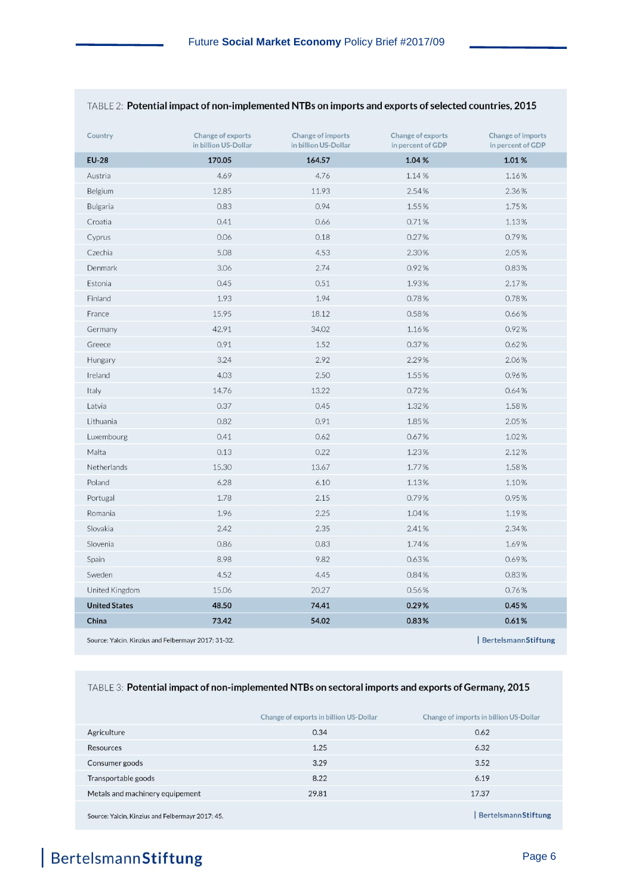| TABLE 2: Potential impact of non-implemented NTBs on imports and exports of selected countries, 2015 |  |
|------------------------------------------------------------------------------------------------------|--|
|------------------------------------------------------------------------------------------------------|--|

| Country                                             | Change of exports<br>in billion US-Dollar | Change of imports<br>in billion US-Dollar | Change of exports<br>in percent of GDP | Change of imports<br>in percent of GDP |
|-----------------------------------------------------|-------------------------------------------|-------------------------------------------|----------------------------------------|----------------------------------------|
| <b>EU-28</b>                                        | 170.05                                    | 164.57                                    | 1.04 %                                 | 1.01%                                  |
| Austria                                             | 4.69                                      | 4.76                                      | 1.14 %                                 | 1.16%                                  |
| Belgium                                             | 12.85                                     | 11.93                                     | 2.54%                                  | 2.36%                                  |
| Bulgaria                                            | 0.83                                      | 0.94                                      | 1.55%                                  | 1.75%                                  |
| Croatia                                             | 0.41                                      | 0.66                                      | 0.71%                                  | 1.13%                                  |
| Cyprus                                              | 0.06                                      | 0.18                                      | 0.27%                                  | 0.79%                                  |
| Czechia                                             | 5.08                                      | 4.53                                      | 2.30%                                  | 2.05%                                  |
| Denmark                                             | 3.06                                      | 2.74                                      | 0.92%                                  | 0.83%                                  |
| Estonia                                             | 0.45                                      | 0.51                                      | 1.93%                                  | 2.17%                                  |
| Finland                                             | 1.93                                      | 1.94                                      | 0.78%                                  | 0.78%                                  |
| France                                              | 15.95                                     | 18.12                                     | 0.58%                                  | 0.66%                                  |
| Germany                                             | 42.91                                     | 34.02                                     | 1.16%                                  | 0.92%                                  |
| Greece                                              | 0.91                                      | 1.52                                      | 0.37%                                  | 0.62%                                  |
| Hungary                                             | 3.24                                      | 2.92                                      | 2.29%                                  | 2.06%                                  |
| Ireland                                             | 4.03                                      | 2.50                                      | 1.55%                                  | 0.96%                                  |
| Italy                                               | 14.76                                     | 13.22                                     | 0.72%                                  | 0.64%                                  |
| Latvia                                              | 0.37                                      | 0.45                                      | 1.32%                                  | 1.58%                                  |
| Lithuania                                           | 0.82                                      | 0.91                                      | 1.85%                                  | 2.05%                                  |
| Luxembourg                                          | 0.41                                      | 0.62                                      | 0.67%                                  | 1.02%                                  |
| Malta                                               | 0.13                                      | 0.22                                      | 1.23%                                  | 2.12%                                  |
| Netherlands                                         | 15.30                                     | 13.67                                     | 1.77%                                  | 1.58%                                  |
| Poland                                              | 6.28                                      | 6.10                                      | 1.13%                                  | 1.10%                                  |
| Portugal                                            | 1.78                                      | 2.15                                      | 0.79%                                  | 0.95%                                  |
| Romania                                             | 1.96                                      | 2.25                                      | 1.04%                                  | 1.19%                                  |
| Slovakia                                            | 2.42                                      | 2.35                                      | 2.41%                                  | 2.34%                                  |
| Slovenia                                            | 0.86                                      | 0.83                                      | 1.74%                                  | 1.69%                                  |
| Spain                                               | 8.98                                      | 9.82                                      | 0.63%                                  | 0.69%                                  |
| Sweden                                              | 4.52                                      | 4.45                                      | 0.84%                                  | 0.83%                                  |
| United Kingdom                                      | 15.06                                     | 20.27                                     | 0.56%                                  | 0.76%                                  |
| <b>United States</b>                                | 48.50                                     | 74.41                                     | 0.29%                                  | 0.45%                                  |
| China                                               | 73.42                                     | 54.02                                     | 0.83%                                  | 0.61%                                  |
| Source: Yalcin, Kinzius and Felbermayr 2017: 31-32. |                                           |                                           |                                        | BertelsmannStiftung                    |

### TABLE 3: Potential impact of non-implemented NTBs on sectoral imports and exports of Germany, 2015

|                                                  | Change of exports in billion US-Dollar | Change of imports in billion US-Dollar |
|--------------------------------------------------|----------------------------------------|----------------------------------------|
| Agriculture                                      | 0.34                                   | 0.62                                   |
| Resources                                        | 1.25                                   | 6.32                                   |
| Consumer goods                                   | 3.29                                   | 3.52                                   |
| Transportable goods                              | 8.22                                   | 6.19                                   |
| Metals and machinery equipement                  | 29.81                                  | 17.37                                  |
| Source: Yalcin, Kinzius and Felbermayr 2017: 45. |                                        | BertelsmannStiftung                    |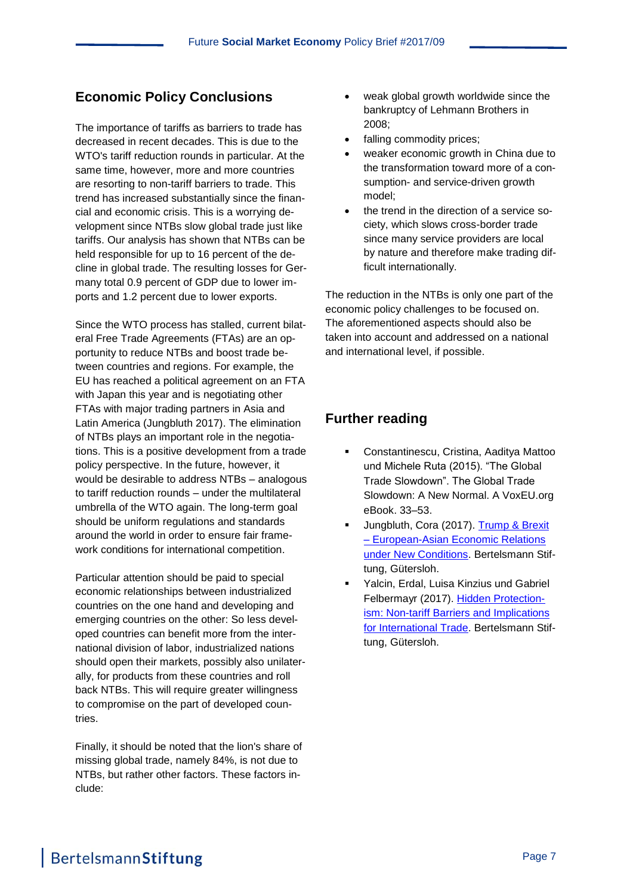### **Economic Policy Conclusions**

The importance of tariffs as barriers to trade has decreased in recent decades. This is due to the WTO's tariff reduction rounds in particular. At the same time, however, more and more countries are resorting to non-tariff barriers to trade. This trend has increased substantially since the financial and economic crisis. This is a worrying development since NTBs slow global trade just like tariffs. Our analysis has shown that NTBs can be held responsible for up to 16 percent of the decline in global trade. The resulting losses for Germany total 0.9 percent of GDP due to lower imports and 1.2 percent due to lower exports.

Since the WTO process has stalled, current bilateral Free Trade Agreements (FTAs) are an opportunity to reduce NTBs and boost trade between countries and regions. For example, the EU has reached a political agreement on an FTA with Japan this year and is negotiating other FTAs with major trading partners in Asia and Latin America (Jungbluth 2017). The elimination of NTBs plays an important role in the negotiations. This is a positive development from a trade policy perspective. In the future, however, it would be desirable to address NTBs – analogous to tariff reduction rounds – under the multilateral umbrella of the WTO again. The long-term goal should be uniform regulations and standards around the world in order to ensure fair framework conditions for international competition.

Particular attention should be paid to special economic relationships between industrialized countries on the one hand and developing and emerging countries on the other: So less developed countries can benefit more from the international division of labor, industrialized nations should open their markets, possibly also unilaterally, for products from these countries and roll back NTBs. This will require greater willingness to compromise on the part of developed countries.

Finally, it should be noted that the lion's share of missing global trade, namely 84%, is not due to NTBs, but rather other factors. These factors include:

- weak global growth worldwide since the bankruptcy of Lehmann Brothers in 2008;
- falling commodity prices;
- weaker economic growth in China due to the transformation toward more of a consumption- and service-driven growth model;
- the trend in the direction of a service society, which slows cross-border trade since many service providers are local by nature and therefore make trading difficult internationally.

The reduction in the NTBs is only one part of the economic policy challenges to be focused on. The aforementioned aspects should also be taken into account and addressed on a national and international level, if possible.

### **Further reading**

- Constantinescu, Cristina, Aaditya Mattoo und Michele Ruta (2015). "The Global Trade Slowdown". The Global Trade Slowdown: A New Normal. A VoxEU.org eBook. 33–53.
- Jungbluth, Cora (2017). [Trump & Brexit](https://www.bertelsmann-stiftung.de/fileadmin/files/BSt/Publikationen/GrauePublikationen/NW_Trump___Brexit.pdf)  – [European-Asian Economic Relations](https://www.bertelsmann-stiftung.de/fileadmin/files/BSt/Publikationen/GrauePublikationen/NW_Trump___Brexit.pdf)  [under New Conditions.](https://www.bertelsmann-stiftung.de/fileadmin/files/BSt/Publikationen/GrauePublikationen/NW_Trump___Brexit.pdf) Bertelsmann Stiftung, Gütersloh.
- Yalcin, Erdal, Luisa Kinzius und Gabriel Felbermayr (2017). [Hidden Protection](https://www.bertelsmann-stiftung.de/fileadmin/files/BSt/Publikationen/GrauePublikationen/NW_Hidden_Protectionism.pdf)[ism: Non-tariff Barriers and Implications](https://www.bertelsmann-stiftung.de/fileadmin/files/BSt/Publikationen/GrauePublikationen/NW_Hidden_Protectionism.pdf)  [for International Trade.](https://www.bertelsmann-stiftung.de/fileadmin/files/BSt/Publikationen/GrauePublikationen/NW_Hidden_Protectionism.pdf) Bertelsmann Stiftung, Gütersloh.